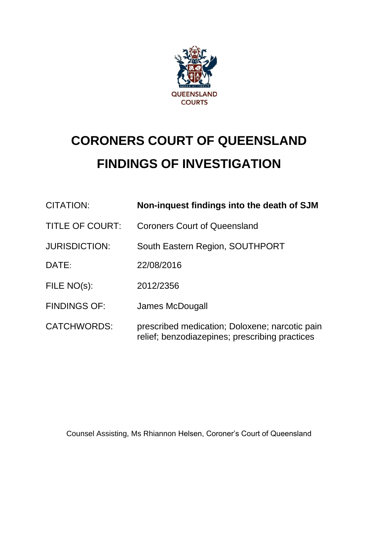

# **CORONERS COURT OF QUEENSLAND FINDINGS OF INVESTIGATION**

| CITATION:              | Non-inquest findings into the death of SJM                                                       |
|------------------------|--------------------------------------------------------------------------------------------------|
| <b>TITLE OF COURT:</b> | <b>Coroners Court of Queensland</b>                                                              |
| <b>JURISDICTION:</b>   | South Eastern Region, SOUTHPORT                                                                  |
| DATE:                  | 22/08/2016                                                                                       |
| FILE NO(s):            | 2012/2356                                                                                        |
| <b>FINDINGS OF:</b>    | James McDougall                                                                                  |
| <b>CATCHWORDS:</b>     | prescribed medication; Doloxene; narcotic pain<br>relief; benzodiazepines; prescribing practices |

Counsel Assisting, Ms Rhiannon Helsen, Coroner's Court of Queensland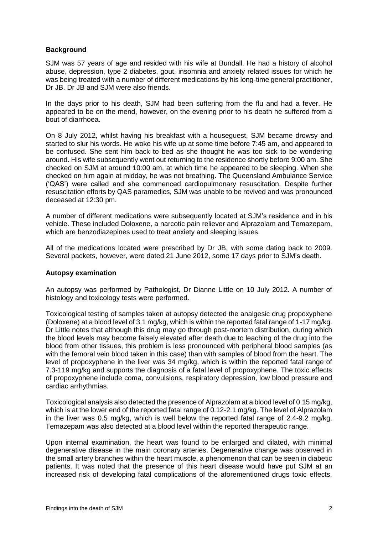# **Background**

SJM was 57 years of age and resided with his wife at Bundall. He had a history of alcohol abuse, depression, type 2 diabetes, gout, insomnia and anxiety related issues for which he was being treated with a number of different medications by his long-time general practitioner, Dr JB. Dr JB and SJM were also friends.

In the days prior to his death, SJM had been suffering from the flu and had a fever. He appeared to be on the mend, however, on the evening prior to his death he suffered from a bout of diarrhoea.

On 8 July 2012, whilst having his breakfast with a houseguest, SJM became drowsy and started to slur his words. He woke his wife up at some time before 7:45 am, and appeared to be confused. She sent him back to bed as she thought he was too sick to be wondering around. His wife subsequently went out returning to the residence shortly before 9:00 am. She checked on SJM at around 10:00 am, at which time he appeared to be sleeping. When she checked on him again at midday, he was not breathing. The Queensland Ambulance Service ('QAS') were called and she commenced cardiopulmonary resuscitation. Despite further resuscitation efforts by QAS paramedics, SJM was unable to be revived and was pronounced deceased at 12:30 pm.

A number of different medications were subsequently located at SJM's residence and in his vehicle. These included Doloxene, a narcotic pain reliever and Alprazolam and Temazepam, which are benzodiazepines used to treat anxiety and sleeping issues.

All of the medications located were prescribed by Dr JB, with some dating back to 2009. Several packets, however, were dated 21 June 2012, some 17 days prior to SJM's death.

#### **Autopsy examination**

An autopsy was performed by Pathologist, Dr Dianne Little on 10 July 2012. A number of histology and toxicology tests were performed.

Toxicological testing of samples taken at autopsy detected the analgesic drug propoxyphene (Doloxene) at a blood level of 3.1 mg/kg, which is within the reported fatal range of 1-17 mg/kg. Dr Little notes that although this drug may go through post-mortem distribution, during which the blood levels may become falsely elevated after death due to leaching of the drug into the blood from other tissues, this problem is less pronounced with peripheral blood samples (as with the femoral vein blood taken in this case) than with samples of blood from the heart. The level of propoxyphene in the liver was 34 mg/kg, which is within the reported fatal range of 7.3-119 mg/kg and supports the diagnosis of a fatal level of propoxyphene. The toxic effects of propoxyphene include coma, convulsions, respiratory depression, low blood pressure and cardiac arrhythmias.

Toxicological analysis also detected the presence of Alprazolam at a blood level of 0.15 mg/kg, which is at the lower end of the reported fatal range of 0.12-2.1 mg/kg. The level of Alprazolam in the liver was 0.5 mg/kg, which is well below the reported fatal range of 2.4-9.2 mg/kg. Temazepam was also detected at a blood level within the reported therapeutic range.

Upon internal examination, the heart was found to be enlarged and dilated, with minimal degenerative disease in the main coronary arteries. Degenerative change was observed in the small artery branches within the heart muscle, a phenomenon that can be seen in diabetic patients. It was noted that the presence of this heart disease would have put SJM at an increased risk of developing fatal complications of the aforementioned drugs toxic effects.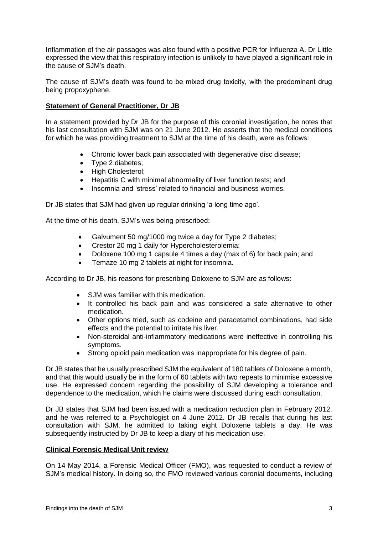Inflammation of the air passages was also found with a positive PCR for Influenza A. Dr Little expressed the view that this respiratory infection is unlikely to have played a significant role in the cause of SJM's death.

The cause of SJM's death was found to be mixed drug toxicity, with the predominant drug being propoxyphene.

# **Statement of General Practitioner, Dr JB**

In a statement provided by Dr JB for the purpose of this coronial investigation, he notes that his last consultation with SJM was on 21 June 2012. He asserts that the medical conditions for which he was providing treatment to SJM at the time of his death, were as follows:

- Chronic lower back pain associated with degenerative disc disease;
- Type 2 diabetes;
- High Cholesterol;
- Hepatitis C with minimal abnormality of liver function tests; and
- Insomnia and 'stress' related to financial and business worries.

Dr JB states that SJM had given up regular drinking 'a long time ago'.

At the time of his death, SJM's was being prescribed:

- Galvument 50 mg/1000 mg twice a day for Type 2 diabetes;
- Crestor 20 mg 1 daily for Hypercholesterolemia;
- Doloxene 100 mg 1 capsule 4 times a day (max of 6) for back pain; and
- Temaze 10 mg 2 tablets at night for insomnia.

According to Dr JB, his reasons for prescribing Doloxene to SJM are as follows:

- SJM was familiar with this medication.
- It controlled his back pain and was considered a safe alternative to other medication.
- Other options tried, such as codeine and paracetamol combinations, had side effects and the potential to irritate his liver.
- Non-steroidal anti-inflammatory medications were ineffective in controlling his symptoms.
- Strong opioid pain medication was inappropriate for his degree of pain.

Dr JB states that he usually prescribed SJM the equivalent of 180 tablets of Doloxene a month, and that this would usually be in the form of 60 tablets with two repeats to minimise excessive use. He expressed concern regarding the possibility of SJM developing a tolerance and dependence to the medication, which he claims were discussed during each consultation.

Dr JB states that SJM had been issued with a medication reduction plan in February 2012, and he was referred to a Psychologist on 4 June 2012. Dr JB recalls that during his last consultation with SJM, he admitted to taking eight Doloxene tablets a day. He was subsequently instructed by Dr JB to keep a diary of his medication use.

#### **Clinical Forensic Medical Unit review**

On 14 May 2014, a Forensic Medical Officer (FMO), was requested to conduct a review of SJM's medical history. In doing so, the FMO reviewed various coronial documents, including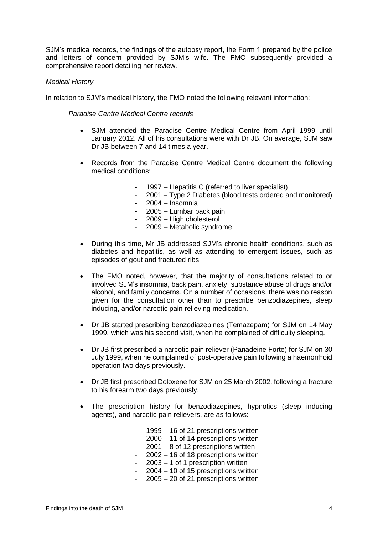SJM's medical records, the findings of the autopsy report, the Form 1 prepared by the police and letters of concern provided by SJM's wife. The FMO subsequently provided a comprehensive report detailing her review.

## *Medical History*

In relation to SJM's medical history, the FMO noted the following relevant information:

#### *Paradise Centre Medical Centre records*

- SJM attended the Paradise Centre Medical Centre from April 1999 until January 2012. All of his consultations were with Dr JB. On average, SJM saw Dr JB between 7 and 14 times a year.
- Records from the Paradise Centre Medical Centre document the following medical conditions:
	- 1997 Hepatitis C (referred to liver specialist)
	- 2001 Type 2 Diabetes (blood tests ordered and monitored)
	- 2004 Insomnia
	- 2005 Lumbar back pain
	- 2009 High cholesterol
	- 2009 Metabolic syndrome
- During this time, Mr JB addressed SJM's chronic health conditions, such as diabetes and hepatitis, as well as attending to emergent issues, such as episodes of gout and fractured ribs.
- The FMO noted, however, that the majority of consultations related to or involved SJM's insomnia, back pain, anxiety, substance abuse of drugs and/or alcohol, and family concerns. On a number of occasions, there was no reason given for the consultation other than to prescribe benzodiazepines, sleep inducing, and/or narcotic pain relieving medication.
- Dr JB started prescribing benzodiazepines (Temazepam) for SJM on 14 May 1999, which was his second visit, when he complained of difficulty sleeping.
- Dr JB first prescribed a narcotic pain reliever (Panadeine Forte) for SJM on 30 July 1999, when he complained of post-operative pain following a haemorrhoid operation two days previously.
- Dr JB first prescribed Doloxene for SJM on 25 March 2002, following a fracture to his forearm two days previously.
- The prescription history for benzodiazepines, hypnotics (sleep inducing agents), and narcotic pain relievers, are as follows:
	- 1999 16 of 21 prescriptions written
	- 2000 11 of 14 prescriptions written
	- $2001 8$  of 12 prescriptions written
	- 2002 16 of 18 prescriptions written
	- $2003 1$  of 1 prescription written
	- $2004 10$  of 15 prescriptions written
	- 2005 20 of 21 prescriptions written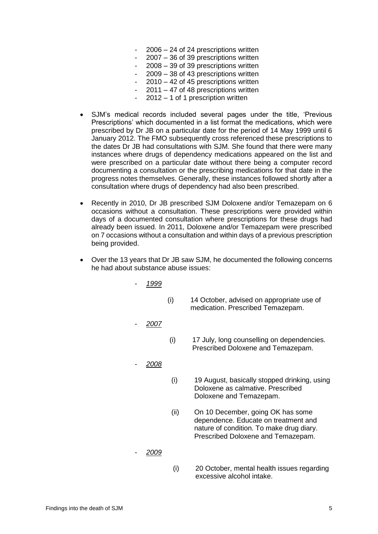- $2006 24$  of 24 prescriptions written
- 2007 36 of 39 prescriptions written
- $2008 39$  of 39 prescriptions written
- $2009 38$  of 43 prescriptions written
- $2010 42$  of 45 prescriptions written
- $2011 47$  of 48 prescriptions written
- $2012 1$  of 1 prescription written
- SJM's medical records included several pages under the title, 'Previous Prescriptions' which documented in a list format the medications, which were prescribed by Dr JB on a particular date for the period of 14 May 1999 until 6 January 2012. The FMO subsequently cross referenced these prescriptions to the dates Dr JB had consultations with SJM. She found that there were many instances where drugs of dependency medications appeared on the list and were prescribed on a particular date without there being a computer record documenting a consultation or the prescribing medications for that date in the progress notes themselves. Generally, these instances followed shortly after a consultation where drugs of dependency had also been prescribed.
- Recently in 2010, Dr JB prescribed SJM Doloxene and/or Temazepam on 6 occasions without a consultation. These prescriptions were provided within days of a documented consultation where prescriptions for these drugs had already been issued. In 2011, Doloxene and/or Temazepam were prescribed on 7 occasions without a consultation and within days of a previous prescription being provided.
- Over the 13 years that Dr JB saw SJM, he documented the following concerns he had about substance abuse issues:
	- *1999* (i) 14 October, advised on appropriate use of medication. Prescribed Temazepam. - *2007* (i) 17 July, long counselling on dependencies. Prescribed Doloxene and Temazepam. - *2008* (i) 19 August, basically stopped drinking, using Doloxene as calmative. Prescribed Doloxene and Temazepam. (ii) On 10 December, going OK has some dependence. Educate on treatment and
	- *2009*
- (i) 20 October, mental health issues regarding excessive alcohol intake.

nature of condition. To make drug diary. Prescribed Doloxene and Temazepam.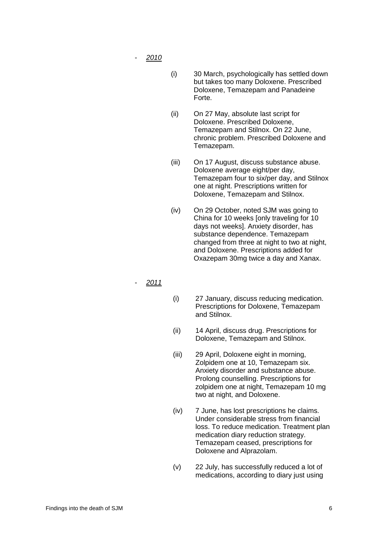- *2010*
- (i) 30 March, psychologically has settled down but takes too many Doloxene. Prescribed Doloxene, Temazepam and Panadeine Forte.
- (ii) On 27 May, absolute last script for Doloxene. Prescribed Doloxene, Temazepam and Stilnox. On 22 June, chronic problem. Prescribed Doloxene and Temazepam.
- (iii) On 17 August, discuss substance abuse. Doloxene average eight/per day, Temazepam four to six/per day, and Stilnox one at night. Prescriptions written for Doloxene, Temazepam and Stilnox.
- (iv) On 29 October, noted SJM was going to China for 10 weeks [only traveling for 10 days not weeks]. Anxiety disorder, has substance dependence. Temazepam changed from three at night to two at night, and Doloxene. Prescriptions added for Oxazepam 30mg twice a day and Xanax.
- *2011*
- (i) 27 January, discuss reducing medication. Prescriptions for Doloxene, Temazepam and Stilnox.
- (ii) 14 April, discuss drug. Prescriptions for Doloxene, Temazepam and Stilnox.
- (iii) 29 April, Doloxene eight in morning, Zolpidem one at 10, Temazepam six. Anxiety disorder and substance abuse. Prolong counselling. Prescriptions for zolpidem one at night, Temazepam 10 mg two at night, and Doloxene.
- (iv) 7 June, has lost prescriptions he claims. Under considerable stress from financial loss. To reduce medication. Treatment plan medication diary reduction strategy. Temazepam ceased, prescriptions for Doloxene and Alprazolam.
- (v) 22 July, has successfully reduced a lot of medications, according to diary just using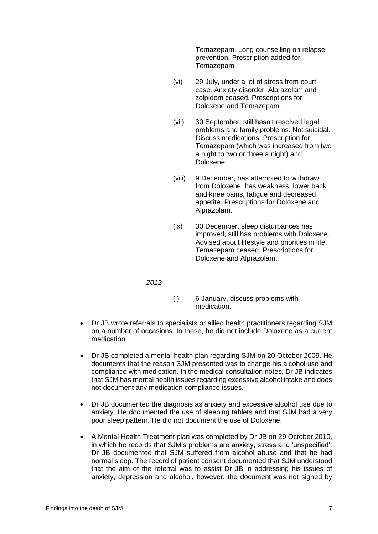Temazepam. Long counselling on relapse prevention. Prescription added for Temazepam.

- (vi) 29 July, under a lot of stress from court case. Anxiety disorder. Alprazolam and zolpidem ceased. Prescriptions for Doloxene and Temazepam.
- (vii) 30 September, still hasn't resolved legal problems and family problems. Not suicidal. Discuss medications. Prescription for Temazepam (which was increased from two a night to two or three a night) and Doloxene.
- (viii) 9 December, has attempted to withdraw from Doloxene, has weakness, lower back and knee pains, fatigue and decreased appetite. Prescriptions for Doloxene and Alprazolam.
- (ix) 30 December, sleep disturbances has improved, still has problems with Doloxene. Advised about lifestyle and priorities in life. Temazepam ceased. Prescriptions for Doloxene and Alprazolam.

# - *2012*

- (i) 6 January, discuss problems with medication.
- Dr JB wrote referrals to specialists or allied health practitioners regarding SJM on a number of occasions. In these, he did not include Doloxene as a current medication.
- Dr JB completed a mental health plan regarding SJM on 20 October 2009. He documents that the reason SJM presented was to change his alcohol use and compliance with medication. In the medical consultation notes, Dr JB indicates that SJM has mental health issues regarding excessive alcohol intake and does not document any medication compliance issues.
- Dr JB documented the diagnosis as anxiety and excessive alcohol use due to anxiety. He documented the use of sleeping tablets and that SJM had a very poor sleep pattern. He did not document the use of Doloxene.
- A Mental Health Treatment plan was completed by Dr JB on 29 October 2010, in which he records that SJM's problems are anxiety, stress and 'unspecified'. Dr JB documented that SJM suffered from alcohol abuse and that he had normal sleep. The record of patient consent documented that SJM understood that the aim of the referral was to assist Dr JB in addressing his issues of anxiety, depression and alcohol, however, the document was not signed by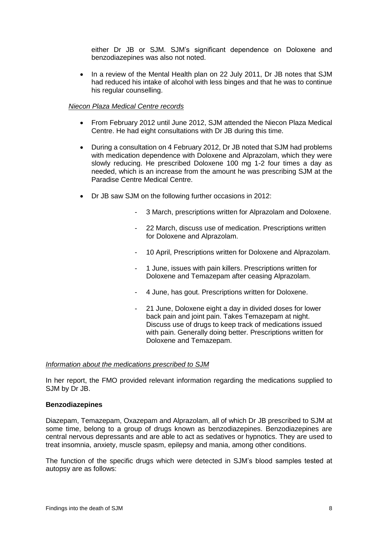either Dr JB or SJM. SJM's significant dependence on Doloxene and benzodiazepines was also not noted.

 In a review of the Mental Health plan on 22 July 2011, Dr JB notes that SJM had reduced his intake of alcohol with less binges and that he was to continue his regular counselling.

## *Niecon Plaza Medical Centre records*

- From February 2012 until June 2012, SJM attended the Niecon Plaza Medical Centre. He had eight consultations with Dr JB during this time.
- During a consultation on 4 February 2012, Dr JB noted that SJM had problems with medication dependence with Doloxene and Alprazolam, which they were slowly reducing. He prescribed Doloxene 100 mg 1-2 four times a day as needed, which is an increase from the amount he was prescribing SJM at the Paradise Centre Medical Centre.
- Dr JB saw SJM on the following further occasions in 2012:
	- 3 March, prescriptions written for Alprazolam and Doloxene.
	- 22 March, discuss use of medication. Prescriptions written for Doloxene and Alprazolam.
	- 10 April, Prescriptions written for Doloxene and Alprazolam.
	- 1 June, issues with pain killers. Prescriptions written for Doloxene and Temazepam after ceasing Alprazolam.
	- 4 June, has gout. Prescriptions written for Doloxene.
	- 21 June, Doloxene eight a day in divided doses for lower back pain and joint pain. Takes Temazepam at night. Discuss use of drugs to keep track of medications issued with pain. Generally doing better. Prescriptions written for Doloxene and Temazepam.

#### *Information about the medications prescribed to SJM*

In her report, the FMO provided relevant information regarding the medications supplied to SJM by Dr JB.

#### **Benzodiazepines**

Diazepam, Temazepam, Oxazepam and Alprazolam, all of which Dr JB prescribed to SJM at some time, belong to a group of drugs known as benzodiazepines. Benzodiazepines are central nervous depressants and are able to act as sedatives or hypnotics. They are used to treat insomnia, anxiety, muscle spasm, epilepsy and mania, among other conditions.

The function of the specific drugs which were detected in SJM's blood samples tested at autopsy are as follows: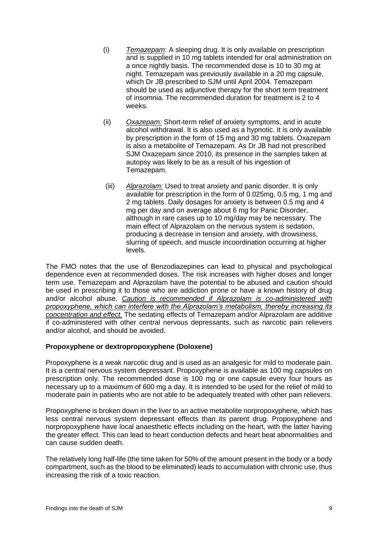- (i) *Temazepam*: A sleeping drug. It is only available on prescription and is supplied in 10 mg tablets intended for oral administration on a once nightly basis. The recommended dose is 10 to 30 mg at night. Temazepam was previously available in a 20 mg capsule, which Dr JB prescribed to SJM until April 2004. Temazepam should be used as adjunctive therapy for the short term treatment of insomnia. The recommended duration for treatment is 2 to 4 weeks.
- (ii) *Oxazepam:* Short-term relief of anxiety symptoms, and in acute alcohol withdrawal. It is also used as a hypnotic. It is only available by prescription in the form of 15 mg and 30 mg tablets. Oxazepam is also a metabolite of Temazepam. As Dr JB had not prescribed SJM Oxazepam since 2010, its presence in the samples taken at autopsy was likely to be as a result of his ingestion of Temazepam.
- (iii) *Alprazolam:* Used to treat anxiety and panic disorder. It is only available for prescription in the form of 0.025mg, 0.5 mg, 1 mg and 2 mg tablets. Daily dosages for anxiety is between 0.5 mg and 4 mg per day and on average about 6 mg for Panic Disorder, although in rare cases up to 10 mg/day may be necessary. The main effect of Alprazolam on the nervous system is sedation, producing a decrease in tension and anxiety, with drowsiness, slurring of speech, and muscle incoordination occurring at higher levels.

The FMO notes that the use of Benzodiazepines can lead to physical and psychological dependence even at recommended doses. The risk increases with higher doses and longer term use. Temazepam and Alprazolam have the potential to be abused and caution should be used in prescribing it to those who are addiction prone or have a known history of drug and/or alcohol abuse. *Caution is recommended if Alprazolam is co-administered with propoxyphene, which can interfere with the Alprazolam's metabolism, thereby increasing its concentration and effect.* The sedating effects of Temazepam and/or Alprazolam are additive if co-administered with other central nervous depressants, such as narcotic pain relievers and/or alcohol, and should be avoided.

# **Propoxyphene or dextropropoxyphene (Doloxene)**

Propoxyphene is a weak narcotic drug and is used as an analgesic for mild to moderate pain. It is a central nervous system depressant. Propoxyphene is available as 100 mg capsules on prescription only. The recommended dose is 100 mg or one capsule every four hours as necessary up to a maximum of 600 mg a day. It is intended to be used for the relief of mild to moderate pain in patients who are not able to be adequately treated with other pain relievers.

Propoxyphene is broken down in the liver to an active metabolite norpropoxyphene, which has less central nervous system depressant effects than its parent drug. Propoxyphene and norpropoxyphene have local anaesthetic effects including on the heart, with the latter having the greater effect. This can lead to heart conduction defects and heart beat abnormalities and can cause sudden death.

The relatively long half-life (the time taken for 50% of the amount present in the body or a body compartment, such as the blood to be eliminated) leads to accumulation with chronic use, thus increasing the risk of a toxic reaction.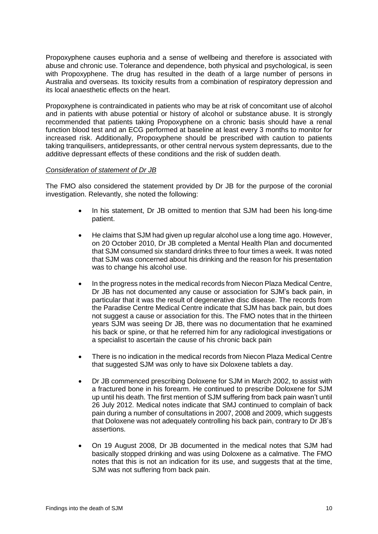Propoxyphene causes euphoria and a sense of wellbeing and therefore is associated with abuse and chronic use. Tolerance and dependence, both physical and psychological, is seen with Propoxyphene. The drug has resulted in the death of a large number of persons in Australia and overseas. Its toxicity results from a combination of respiratory depression and its local anaesthetic effects on the heart.

Propoxyphene is contraindicated in patients who may be at risk of concomitant use of alcohol and in patients with abuse potential or history of alcohol or substance abuse. It is strongly recommended that patients taking Propoxyphene on a chronic basis should have a renal function blood test and an ECG performed at baseline at least every 3 months to monitor for increased risk. Additionally, Propoxyphene should be prescribed with caution to patients taking tranquilisers, antidepressants, or other central nervous system depressants, due to the additive depressant effects of these conditions and the risk of sudden death.

# *Consideration of statement of Dr JB*

The FMO also considered the statement provided by Dr JB for the purpose of the coronial investigation. Relevantly, she noted the following:

- In his statement, Dr JB omitted to mention that SJM had been his long-time patient.
- He claims that SJM had given up regular alcohol use a long time ago. However, on 20 October 2010, Dr JB completed a Mental Health Plan and documented that SJM consumed six standard drinks three to four times a week. It was noted that SJM was concerned about his drinking and the reason for his presentation was to change his alcohol use.
- In the progress notes in the medical records from Niecon Plaza Medical Centre, Dr JB has not documented any cause or association for SJM's back pain, in particular that it was the result of degenerative disc disease. The records from the Paradise Centre Medical Centre indicate that SJM has back pain, but does not suggest a cause or association for this. The FMO notes that in the thirteen years SJM was seeing Dr JB, there was no documentation that he examined his back or spine, or that he referred him for any radiological investigations or a specialist to ascertain the cause of his chronic back pain
- There is no indication in the medical records from Niecon Plaza Medical Centre that suggested SJM was only to have six Doloxene tablets a day.
- Dr JB commenced prescribing Doloxene for SJM in March 2002, to assist with a fractured bone in his forearm. He continued to prescribe Doloxene for SJM up until his death. The first mention of SJM suffering from back pain wasn't until 26 July 2012. Medical notes indicate that SMJ continued to complain of back pain during a number of consultations in 2007, 2008 and 2009, which suggests that Doloxene was not adequately controlling his back pain, contrary to Dr JB's assertions.
- On 19 August 2008, Dr JB documented in the medical notes that SJM had basically stopped drinking and was using Doloxene as a calmative. The FMO notes that this is not an indication for its use, and suggests that at the time, SJM was not suffering from back pain.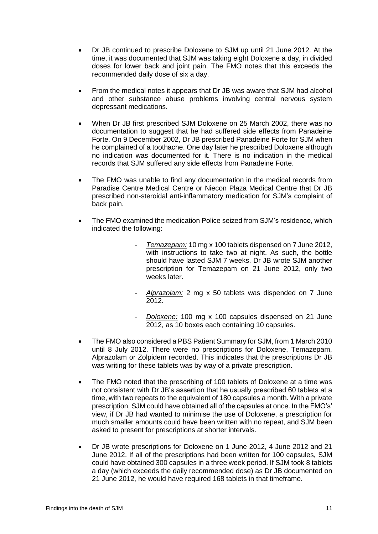- Dr JB continued to prescribe Doloxene to SJM up until 21 June 2012. At the time, it was documented that SJM was taking eight Doloxene a day, in divided doses for lower back and joint pain. The FMO notes that this exceeds the recommended daily dose of six a day.
- From the medical notes it appears that Dr JB was aware that SJM had alcohol and other substance abuse problems involving central nervous system depressant medications.
- When Dr JB first prescribed SJM Doloxene on 25 March 2002, there was no documentation to suggest that he had suffered side effects from Panadeine Forte. On 9 December 2002, Dr JB prescribed Panadeine Forte for SJM when he complained of a toothache. One day later he prescribed Doloxene although no indication was documented for it. There is no indication in the medical records that SJM suffered any side effects from Panadeine Forte.
- The FMO was unable to find any documentation in the medical records from Paradise Centre Medical Centre or Niecon Plaza Medical Centre that Dr JB prescribed non-steroidal anti-inflammatory medication for SJM's complaint of back pain.
- The FMO examined the medication Police seized from SJM's residence, which indicated the following:
	- *Temazepam:* 10 mg x 100 tablets dispensed on 7 June 2012, with instructions to take two at night. As such, the bottle should have lasted SJM 7 weeks. Dr JB wrote SJM another prescription for Temazepam on 21 June 2012, only two weeks later.
	- *Alprazolam:* 2 mg x 50 tablets was dispended on 7 June 2012.
	- *Doloxene:* 100 mg x 100 capsules dispensed on 21 June 2012, as 10 boxes each containing 10 capsules.
- The FMO also considered a PBS Patient Summary for SJM, from 1 March 2010 until 8 July 2012. There were no prescriptions for Doloxene, Temazepam, Alprazolam or Zolpidem recorded. This indicates that the prescriptions Dr JB was writing for these tablets was by way of a private prescription.
- The FMO noted that the prescribing of 100 tablets of Doloxene at a time was not consistent with Dr JB's assertion that he usually prescribed 60 tablets at a time, with two repeats to the equivalent of 180 capsules a month. With a private prescription, SJM could have obtained all of the capsules at once. In the FMO's' view, if Dr JB had wanted to minimise the use of Doloxene, a prescription for much smaller amounts could have been written with no repeat, and SJM been asked to present for prescriptions at shorter intervals.
- Dr JB wrote prescriptions for Doloxene on 1 June 2012, 4 June 2012 and 21 June 2012. If all of the prescriptions had been written for 100 capsules, SJM could have obtained 300 capsules in a three week period. If SJM took 8 tablets a day (which exceeds the daily recommended dose) as Dr JB documented on 21 June 2012, he would have required 168 tablets in that timeframe.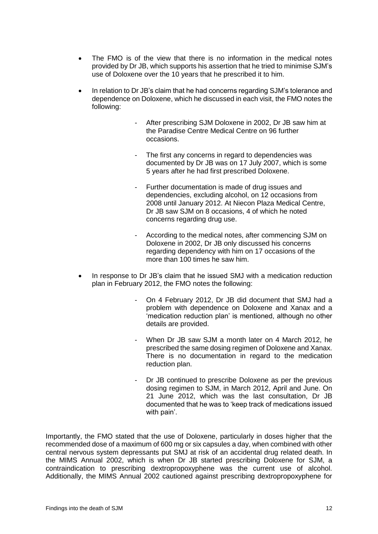- The FMO is of the view that there is no information in the medical notes provided by Dr JB, which supports his assertion that he tried to minimise SJM's use of Doloxene over the 10 years that he prescribed it to him.
- In relation to Dr JB's claim that he had concerns regarding SJM's tolerance and dependence on Doloxene, which he discussed in each visit, the FMO notes the following:
	- After prescribing SJM Doloxene in 2002, Dr JB saw him at the Paradise Centre Medical Centre on 96 further occasions.
	- The first any concerns in regard to dependencies was documented by Dr JB was on 17 July 2007, which is some 5 years after he had first prescribed Doloxene.
	- Further documentation is made of drug issues and dependencies, excluding alcohol, on 12 occasions from 2008 until January 2012. At Niecon Plaza Medical Centre, Dr JB saw SJM on 8 occasions, 4 of which he noted concerns regarding drug use.
	- According to the medical notes, after commencing SJM on Doloxene in 2002, Dr JB only discussed his concerns regarding dependency with him on 17 occasions of the more than 100 times he saw him.
- In response to Dr JB's claim that he issued SMJ with a medication reduction plan in February 2012, the FMO notes the following:
	- On 4 February 2012, Dr JB did document that SMJ had a problem with dependence on Doloxene and Xanax and a 'medication reduction plan' is mentioned, although no other details are provided.
	- When Dr JB saw SJM a month later on 4 March 2012, he prescribed the same dosing regimen of Doloxene and Xanax. There is no documentation in regard to the medication reduction plan.
	- Dr JB continued to prescribe Doloxene as per the previous dosing regimen to SJM, in March 2012, April and June. On 21 June 2012, which was the last consultation, Dr JB documented that he was to 'keep track of medications issued with pain'.

Importantly, the FMO stated that the use of Doloxene, particularly in doses higher that the recommended dose of a maximum of 600 mg or six capsules a day, when combined with other central nervous system depressants put SMJ at risk of an accidental drug related death. In the MIMS Annual 2002, which is when Dr JB started prescribing Doloxene for SJM, a contraindication to prescribing dextropropoxyphene was the current use of alcohol. Additionally, the MIMS Annual 2002 cautioned against prescribing dextropropoxyphene for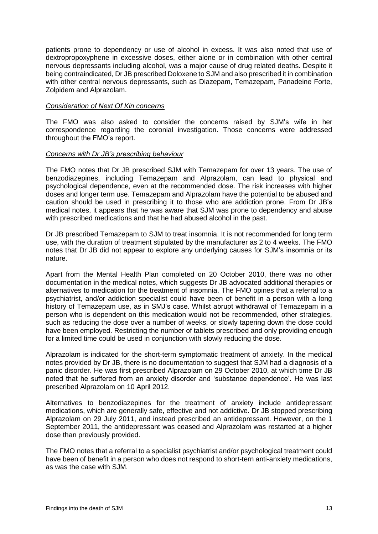patients prone to dependency or use of alcohol in excess. It was also noted that use of dextropropoxyphene in excessive doses, either alone or in combination with other central nervous depressants including alcohol, was a major cause of drug related deaths. Despite it being contraindicated, Dr JB prescribed Doloxene to SJM and also prescribed it in combination with other central nervous depressants, such as Diazepam, Temazepam, Panadeine Forte, Zolpidem and Alprazolam.

#### *Consideration of Next Of Kin concerns*

The FMO was also asked to consider the concerns raised by SJM's wife in her correspondence regarding the coronial investigation. Those concerns were addressed throughout the FMO's report.

## *Concerns with Dr JB's prescribing behaviour*

The FMO notes that Dr JB prescribed SJM with Temazepam for over 13 years. The use of benzodiazepines, including Temazepam and Alprazolam, can lead to physical and psychological dependence, even at the recommended dose. The risk increases with higher doses and longer term use. Temazepam and Alprazolam have the potential to be abused and caution should be used in prescribing it to those who are addiction prone. From Dr JB's medical notes, it appears that he was aware that SJM was prone to dependency and abuse with prescribed medications and that he had abused alcohol in the past.

Dr JB prescribed Temazepam to SJM to treat insomnia. It is not recommended for long term use, with the duration of treatment stipulated by the manufacturer as 2 to 4 weeks. The FMO notes that Dr JB did not appear to explore any underlying causes for SJM's insomnia or its nature.

Apart from the Mental Health Plan completed on 20 October 2010, there was no other documentation in the medical notes, which suggests Dr JB advocated additional therapies or alternatives to medication for the treatment of insomnia. The FMO opines that a referral to a psychiatrist, and/or addiction specialist could have been of benefit in a person with a long history of Temazepam use, as in SMJ's case. Whilst abrupt withdrawal of Temazepam in a person who is dependent on this medication would not be recommended, other strategies, such as reducing the dose over a number of weeks, or slowly tapering down the dose could have been employed. Restricting the number of tablets prescribed and only providing enough for a limited time could be used in conjunction with slowly reducing the dose.

Alprazolam is indicated for the short-term symptomatic treatment of anxiety. In the medical notes provided by Dr JB, there is no documentation to suggest that SJM had a diagnosis of a panic disorder. He was first prescribed Alprazolam on 29 October 2010, at which time Dr JB noted that he suffered from an anxiety disorder and 'substance dependence'. He was last prescribed Alprazolam on 10 April 2012.

Alternatives to benzodiazepines for the treatment of anxiety include antidepressant medications, which are generally safe, effective and not addictive. Dr JB stopped prescribing Alprazolam on 29 July 2011, and instead prescribed an antidepressant. However, on the 1 September 2011, the antidepressant was ceased and Alprazolam was restarted at a higher dose than previously provided.

The FMO notes that a referral to a specialist psychiatrist and/or psychological treatment could have been of benefit in a person who does not respond to short-tern anti-anxiety medications, as was the case with SJM.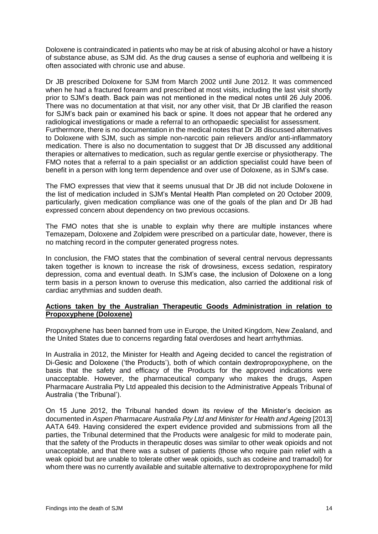Doloxene is contraindicated in patients who may be at risk of abusing alcohol or have a history of substance abuse, as SJM did. As the drug causes a sense of euphoria and wellbeing it is often associated with chronic use and abuse.

Dr JB prescribed Doloxene for SJM from March 2002 until June 2012. It was commenced when he had a fractured forearm and prescribed at most visits, including the last visit shortly prior to SJM's death. Back pain was not mentioned in the medical notes until 26 July 2006. There was no documentation at that visit, nor any other visit, that Dr JB clarified the reason for SJM's back pain or examined his back or spine. It does not appear that he ordered any radiological investigations or made a referral to an orthopaedic specialist for assessment. Furthermore, there is no documentation in the medical notes that Dr JB discussed alternatives to Doloxene with SJM, such as simple non-narcotic pain relievers and/or anti-inflammatory medication. There is also no documentation to suggest that Dr JB discussed any additional therapies or alternatives to medication, such as regular gentle exercise or physiotherapy. The FMO notes that a referral to a pain specialist or an addiction specialist could have been of benefit in a person with long term dependence and over use of Doloxene, as in SJM's case.

The FMO expresses that view that it seems unusual that Dr JB did not include Doloxene in the list of medication included in SJM's Mental Health Plan completed on 20 October 2009, particularly, given medication compliance was one of the goals of the plan and Dr JB had expressed concern about dependency on two previous occasions.

The FMO notes that she is unable to explain why there are multiple instances where Temazepam, Doloxene and Zolpidem were prescribed on a particular date, however, there is no matching record in the computer generated progress notes.

In conclusion, the FMO states that the combination of several central nervous depressants taken together is known to increase the risk of drowsiness, excess sedation, respiratory depression, coma and eventual death. In SJM's case, the inclusion of Doloxene on a long term basis in a person known to overuse this medication, also carried the additional risk of cardiac arrythmias and sudden death.

# **Actions taken by the Australian Therapeutic Goods Administration in relation to Propoxyphene (Doloxene)**

Propoxyphene has been banned from use in Europe, the United Kingdom, New Zealand, and the United States due to concerns regarding fatal overdoses and heart arrhythmias.

In Australia in 2012, the Minister for Health and Ageing decided to cancel the registration of Di-Gesic and Doloxene ('the Products'), both of which contain dextropropoxyphene, on the basis that the safety and efficacy of the Products for the approved indications were unacceptable. However, the pharmaceutical company who makes the drugs, Aspen Pharmacare Australia Pty Ltd appealed this decision to the Administrative Appeals Tribunal of Australia ('the Tribunal').

On 15 June 2012, the Tribunal handed down its review of the Minister's decision as documented in *Aspen Pharmacare Australia Pty Ltd and Minister for Health and Ageing* [2013] AATA 649. Having considered the expert evidence provided and submissions from all the parties, the Tribunal determined that the Products were analgesic for mild to moderate pain, that the safety of the Products in therapeutic doses was similar to other weak opioids and not unacceptable, and that there was a subset of patients (those who require pain relief with a weak opioid but are unable to tolerate other weak opioids, such as codeine and tramadol) for whom there was no currently available and suitable alternative to dextropropoxyphene for mild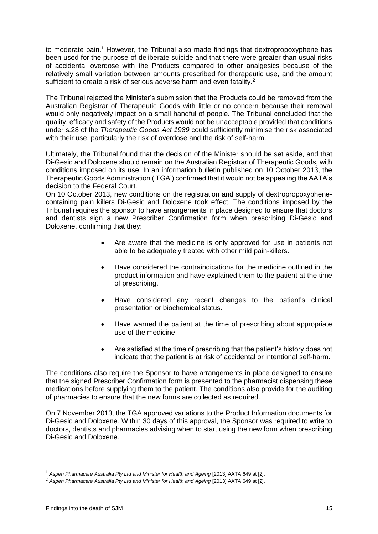to moderate pain.<sup>1</sup> However, the Tribunal also made findings that dextropropoxyphene has been used for the purpose of deliberate suicide and that there were greater than usual risks of accidental overdose with the Products compared to other analgesics because of the relatively small variation between amounts prescribed for therapeutic use, and the amount sufficient to create a risk of serious adverse harm and even fatality.<sup>2</sup>

The Tribunal rejected the Minister's submission that the Products could be removed from the Australian Registrar of Therapeutic Goods with little or no concern because their removal would only negatively impact on a small handful of people. The Tribunal concluded that the quality, efficacy and safety of the Products would not be unacceptable provided that conditions under s.28 of the *Therapeutic Goods Act 1989* could sufficiently minimise the risk associated with their use, particularly the risk of overdose and the risk of self-harm.

Ultimately, the Tribunal found that the decision of the Minister should be set aside, and that Di-Gesic and Doloxene should remain on the Australian Registrar of Therapeutic Goods, with conditions imposed on its use. In an information bulletin published on 10 October 2013, the Therapeutic Goods Administration ('TGA') confirmed that it would not be appealing the AATA's decision to the Federal Court.

On 10 October 2013, new conditions on the registration and supply of dextropropoxyphenecontaining pain killers Di-Gesic and Doloxene took effect. The conditions imposed by the Tribunal requires the sponsor to have arrangements in place designed to ensure that doctors and dentists sign a new Prescriber Confirmation form when prescribing Di-Gesic and Doloxene, confirming that they:

- Are aware that the medicine is only approved for use in patients not able to be adequately treated with other mild pain-killers.
- Have considered the contraindications for the medicine outlined in the product information and have explained them to the patient at the time of prescribing.
- Have considered any recent changes to the patient's clinical presentation or biochemical status.
- Have warned the patient at the time of prescribing about appropriate use of the medicine.
- Are satisfied at the time of prescribing that the patient's history does not indicate that the patient is at risk of accidental or intentional self-harm.

The conditions also require the Sponsor to have arrangements in place designed to ensure that the signed Prescriber Confirmation form is presented to the pharmacist dispensing these medications before supplying them to the patient. The conditions also provide for the auditing of pharmacies to ensure that the new forms are collected as required.

On 7 November 2013, the TGA approved variations to the Product Information documents for Di-Gesic and Doloxene. Within 30 days of this approval, the Sponsor was required to write to doctors, dentists and pharmacies advising when to start using the new form when prescribing Di-Gesic and Doloxene.

1

<sup>&</sup>lt;sup>1</sup> Aspen Pharmacare Australia Pty Ltd and Minister for Health and Ageing [2013] AATA 649 at [2].

<sup>&</sup>lt;sup>2</sup> Aspen Pharmacare Australia Pty Ltd and Minister for Health and Ageing [2013] AATA 649 at [2].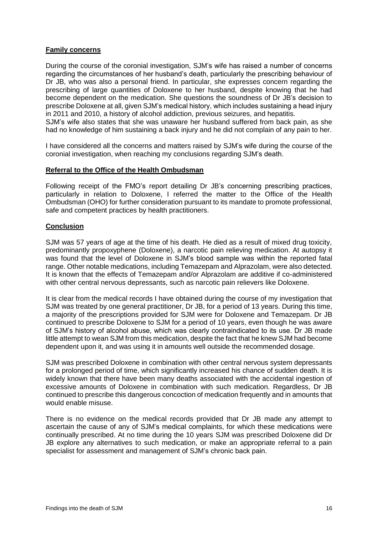# **Family concerns**

During the course of the coronial investigation, SJM's wife has raised a number of concerns regarding the circumstances of her husband's death, particularly the prescribing behaviour of Dr JB, who was also a personal friend. In particular, she expresses concern regarding the prescribing of large quantities of Doloxene to her husband, despite knowing that he had become dependent on the medication. She questions the soundness of Dr JB's decision to prescribe Doloxene at all, given SJM's medical history, which includes sustaining a head injury in 2011 and 2010, a history of alcohol addiction, previous seizures, and hepatitis.

SJM's wife also states that she was unaware her husband suffered from back pain, as she had no knowledge of him sustaining a back injury and he did not complain of any pain to her.

I have considered all the concerns and matters raised by SJM's wife during the course of the coronial investigation, when reaching my conclusions regarding SJM's death.

#### **Referral to the Office of the Health Ombudsman**

Following receipt of the FMO's report detailing Dr JB's concerning prescribing practices, particularly in relation to Doloxene, I referred the matter to the Office of the Health Ombudsman (OHO) for further consideration pursuant to its mandate to promote professional, safe and competent practices by health practitioners.

## **Conclusion**

SJM was 57 years of age at the time of his death. He died as a result of mixed drug toxicity, predominantly propoxyphene (Doloxene), a narcotic pain relieving medication. At autopsy it was found that the level of Doloxene in SJM's blood sample was within the reported fatal range. Other notable medications, including Temazepam and Alprazolam, were also detected. It is known that the effects of Temazepam and/or Alprazolam are additive if co-administered with other central nervous depressants, such as narcotic pain relievers like Doloxene.

It is clear from the medical records I have obtained during the course of my investigation that SJM was treated by one general practitioner, Dr JB, for a period of 13 years. During this time, a majority of the prescriptions provided for SJM were for Doloxene and Temazepam. Dr JB continued to prescribe Doloxene to SJM for a period of 10 years, even though he was aware of SJM's history of alcohol abuse, which was clearly contraindicated to its use. Dr JB made little attempt to wean SJM from this medication, despite the fact that he knew SJM had become dependent upon it, and was using it in amounts well outside the recommended dosage.

SJM was prescribed Doloxene in combination with other central nervous system depressants for a prolonged period of time, which significantly increased his chance of sudden death. It is widely known that there have been many deaths associated with the accidental ingestion of excessive amounts of Doloxene in combination with such medication. Regardless, Dr JB continued to prescribe this dangerous concoction of medication frequently and in amounts that would enable misuse.

There is no evidence on the medical records provided that Dr JB made any attempt to ascertain the cause of any of SJM's medical complaints, for which these medications were continually prescribed. At no time during the 10 years SJM was prescribed Doloxene did Dr JB explore any alternatives to such medication, or make an appropriate referral to a pain specialist for assessment and management of SJM's chronic back pain.